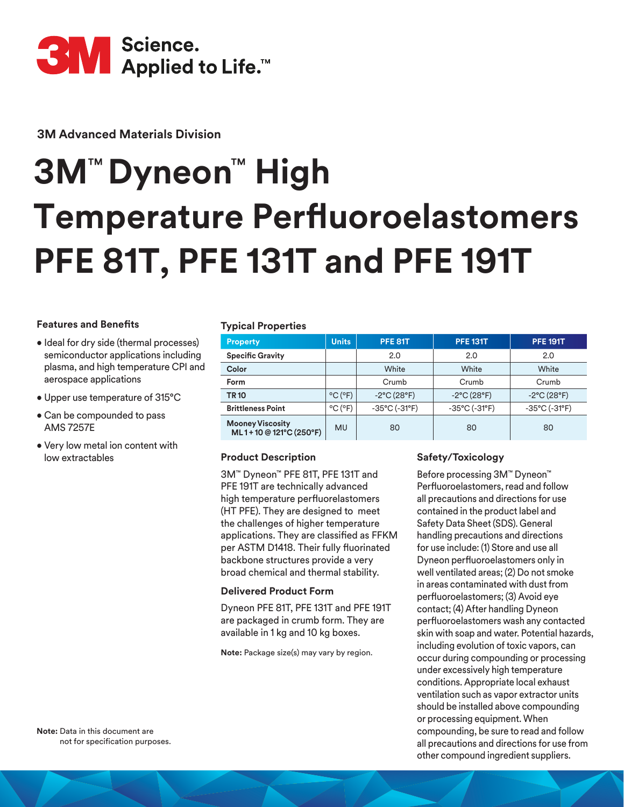

**3M Advanced Materials Division**

# **3M**™ **Dyneon**™ **High Temperature Perfluoroelastomers PFE 81T, PFE 131T and PFE 191T**

## **Features and Benefits**

- Ideal for dry side (thermal processes) semiconductor applications including plasma, and high temperature CPI and aerospace applications
- Upper use temperature of 315°C
- Can be compounded to pass AMS 7257E
- Very low metal ion content with low extractables **Product Description**

## **Typical Properties**

| <b>Property</b>                                  | <b>Units</b>                 | <b>PFE 81T</b>                     | <b>PFE 131T</b>                    | <b>PFE 191T</b>                    |  |
|--------------------------------------------------|------------------------------|------------------------------------|------------------------------------|------------------------------------|--|
| <b>Specific Gravity</b>                          |                              | 2.0<br>2.0                         |                                    | 2.0                                |  |
| Color                                            |                              | White                              | White                              | White                              |  |
| Form                                             |                              | Crumb                              | Crumb                              | Crumb                              |  |
| <b>TR10</b>                                      | $^{\circ}$ C ( $^{\circ}$ F) | $-2^{\circ}$ C $(28^{\circ}F)$     | $-2$ °C (28°F)                     | $-2^{\circ}C(28^{\circ}F)$         |  |
| <b>Brittleness Point</b>                         | $^{\circ}$ C ( $^{\circ}$ F) | $-35^{\circ}$ C ( $-31^{\circ}$ F) | $-35^{\circ}$ C ( $-31^{\circ}$ F) | $-35^{\circ}$ C ( $-31^{\circ}$ F) |  |
| <b>Mooney Viscosity</b><br>ML1+10 @121°C (250°F) | <b>MU</b>                    | 80                                 | 80                                 | 80                                 |  |

3M™ Dyneon™ PFE 81T, PFE 131T and PFE 191T are technically advanced high temperature perfluorelastomers (HT PFE). They are designed to meet the challenges of higher temperature applications. They are classified as FFKM per ASTM D1418. Their fully fluorinated backbone structures provide a very broad chemical and thermal stability.

## **Delivered Product Form**

Dyneon PFE 81T, PFE 131T and PFE 191T are packaged in crumb form. They are available in 1 kg and 10 kg boxes.

**Note:** Package size(s) may vary by region.

## **Safety/Toxicology**

Before processing 3M™ Dyneon™ Perfluoroelastomers, read and follow all precautions and directions for use contained in the product label and Safety Data Sheet (SDS). General handling precautions and directions for use include: (1) Store and use all Dyneon perfluoroelastomers only in well ventilated areas; (2) Do not smoke in areas contaminated with dust from perfluoroelastomers; (3) Avoid eye contact; (4) After handling Dyneon perfluoroelastomers wash any contacted skin with soap and water. Potential hazards, including evolution of toxic vapors, can occur during compounding or processing under excessively high temperature conditions. Appropriate local exhaust ventilation such as vapor extractor units should be installed above compounding or processing equipment. When compounding, be sure to read and follow all precautions and directions for use from other compound ingredient suppliers.

**Note:** Data in this document are not for specification purposes.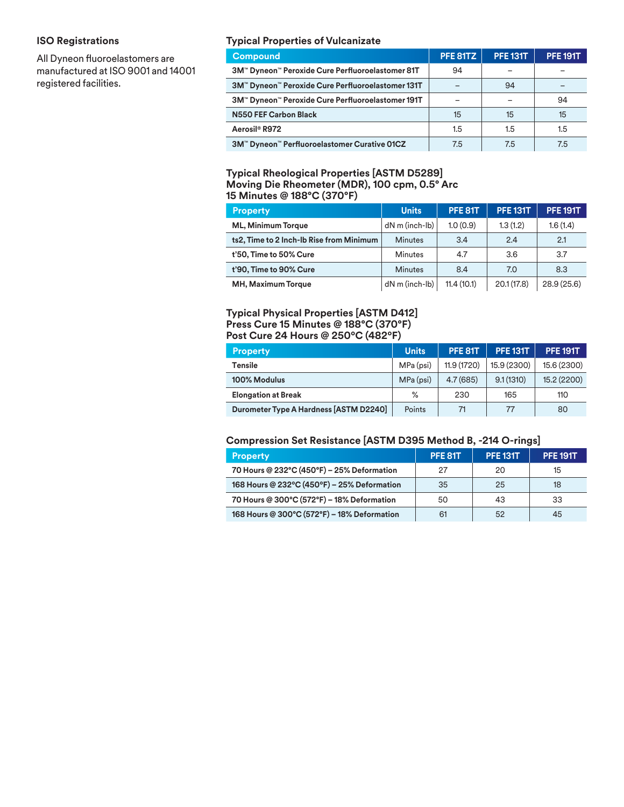## **ISO Registrations**

All Dyneon fluoroelastomers are manufactured at ISO 9001 and 14001 registered facilities.

## **Typical Properties of Vulcanizate**

| <b>Compound</b>                                   | PFE 81TZ | <b>PFE 131T</b> | <b>PFE 191T</b> |
|---------------------------------------------------|----------|-----------------|-----------------|
| 3M™ Dyneon™ Peroxide Cure Perfluoroelastomer 81T  | 94       |                 |                 |
| 3M™ Dyneon™ Peroxide Cure Perfluoroelastomer 131T |          | 94              |                 |
| 3M™ Dyneon™ Peroxide Cure Perfluoroelastomer 191T |          |                 | 94              |
| N550 FEF Carbon Black                             | 15       | 15              | 15              |
| Aerosil <sup>®</sup> R972                         | 1.5      | 1.5             | 1.5             |
| 3M™ Dyneon™ Perfluoroelastomer Curative 01CZ      | 7.5      | 7.5             | 7.5             |

## **Typical Rheological Properties [ASTM D5289] Moving Die Rheometer (MDR), 100 cpm, 0.5° Arc 15 Minutes @ 188°C (370°F)**

| <b>Property</b>                          | <b>Units</b>         | PFE 81T    | <b>PFE 131T</b> | <b>PFE 191T</b> |
|------------------------------------------|----------------------|------------|-----------------|-----------------|
| <b>ML, Minimum Torque</b>                | $dN$ m (inch- $lb$ ) | 1.0(0.9)   | 1.3(1.2)        | 1.6(1.4)        |
| ts2, Time to 2 Inch-Ib Rise from Minimum | <b>Minutes</b>       | 3.4        | 2.4             | 2.1             |
| t'50, Time to 50% Cure                   | <b>Minutes</b>       | 4.7        | 3.6             | 3.7             |
| t'90, Time to 90% Cure                   | <b>Minutes</b>       | 8.4        | 7.0             | 8.3             |
| MH, Maximum Torque                       | dN m (inch-lb)       | 11.4(10.1) | 20.1(17.8)      | 28.9(25.6)      |

## **Typical Physical Properties [ASTM D412] Press Cure 15 Minutes @ 188°C (370°F) Post Cure 24 Hours @ 250ºC (482ºF)**

| <b>Property</b>                        | <b>Units</b> | <b>PFE 81T</b> | <b>PFE 131T</b> | <b>PFE 191T</b> |
|----------------------------------------|--------------|----------------|-----------------|-----------------|
| Tensile                                | MPa (psi)    | 11.9 (1720)    | 15.9 (2300)     | 15.6 (2300)     |
| 100% Modulus                           | MPa (psi)    | 4.7(685)       | 9.1(1310)       | 15.2 (2200)     |
| <b>Elongation at Break</b>             | %            | 230            | 165             | 110             |
| Durometer Type A Hardness [ASTM D2240] | Points       | 71             | 77              | 80              |

## **Compression Set Resistance [ASTM D395 Method B, -214 O-rings]**

| <b>Property</b>                             | <b>PFE 81T</b> | <b>PFE 131T</b> | <b>PFE 191T</b> |
|---------------------------------------------|----------------|-----------------|-----------------|
| 70 Hours @ 232°C (450°F) - 25% Deformation  | 27             | 20              | 15              |
| 168 Hours @ 232°C (450°F) - 25% Deformation | 35             | 25              | 18              |
| 70 Hours @ 300°C (572°F) - 18% Deformation  | 50             | 43              | 33              |
| 168 Hours @ 300°C (572°F) - 18% Deformation | 61             | 52              | 45              |